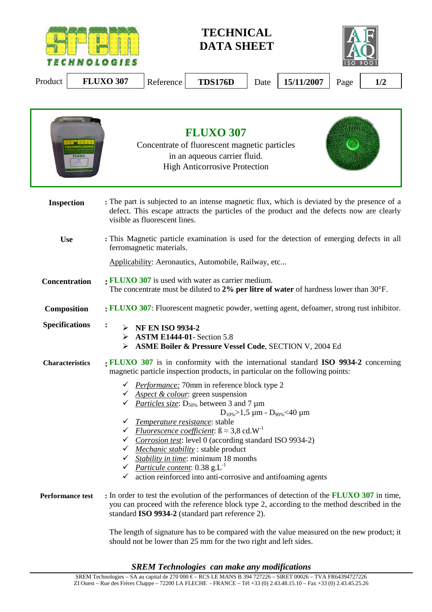

**TECHNICAL DATA SHEET** 



Product **FLUXO 307** Reference **TDS176D** Date 15/11/2007 Page 1/2

|                         | <b>FLUXO 307</b><br>Concentrate of fluorescent magnetic particles<br>in an aqueous carrier fluid.<br><b>High Anticorrosive Protection</b>                                                                                                                                                                                                                                                                                                                                                                                                                                                         |  |  |  |  |  |  |  |
|-------------------------|---------------------------------------------------------------------------------------------------------------------------------------------------------------------------------------------------------------------------------------------------------------------------------------------------------------------------------------------------------------------------------------------------------------------------------------------------------------------------------------------------------------------------------------------------------------------------------------------------|--|--|--|--|--|--|--|
| Inspection              | : The part is subjected to an intense magnetic flux, which is deviated by the presence of a<br>defect. This escape attracts the particles of the product and the defects now are clearly<br>visible as fluorescent lines.                                                                                                                                                                                                                                                                                                                                                                         |  |  |  |  |  |  |  |
| <b>Use</b>              | : This Magnetic particle examination is used for the detection of emerging defects in all<br>ferromagnetic materials.                                                                                                                                                                                                                                                                                                                                                                                                                                                                             |  |  |  |  |  |  |  |
|                         | Applicability: Aeronautics, Automobile, Railway, etc                                                                                                                                                                                                                                                                                                                                                                                                                                                                                                                                              |  |  |  |  |  |  |  |
| <b>Concentration</b>    | : FLUXO 307 is used with water as carrier medium.<br>The concentrate must be diluted to 2% per litre of water of hardness lower than 30°F.                                                                                                                                                                                                                                                                                                                                                                                                                                                        |  |  |  |  |  |  |  |
| Composition             | : FLUXO 307: Fluorescent magnetic powder, wetting agent, defoamer, strong rust inhibitor.                                                                                                                                                                                                                                                                                                                                                                                                                                                                                                         |  |  |  |  |  |  |  |
| <b>Specifications</b>   | <b>NF EN ISO 9934-2</b><br>➤<br><b>ASTM E1444-01- Section 5.8</b><br>➤<br><b>ASME Boiler &amp; Pressure Vessel Code, SECTION V, 2004 Ed.</b><br>➤                                                                                                                                                                                                                                                                                                                                                                                                                                                 |  |  |  |  |  |  |  |
| <b>Characteristics</b>  | <b>FLUXO</b> 307 is in conformity with the international standard ISO 9934-2 concerning<br>magnetic particle inspection products, in particular on the following points:                                                                                                                                                                                                                                                                                                                                                                                                                          |  |  |  |  |  |  |  |
|                         | ← <i>Performance:</i> 70mm in reference block type 2<br>Aspect & colour: green suspension<br>$\checkmark$ <i>Particles size</i> : D <sub>50%</sub> between 3 and 7 µm<br>$D_{10\%} > 1.5 \mu m - D_{90\%} < 40 \mu m$<br>Temperature resistance: stable<br><i>Fluorescence coefficient</i> : $B \approx 3.8$ cd.W <sup>-1</sup><br>Corrosion test: level 0 (according standard ISO 9934-2)<br>Mechanic stability: stable product<br>Stability in time: minimum 18 months<br><i>Particule content:</i> $0.38$ $g.L^{-1}$<br>✓<br>action reinforced into anti-corrosive and antifoaming agents<br>✓ |  |  |  |  |  |  |  |
| <b>Performance test</b> | : In order to test the evolution of the performances of detection of the <b>FLUXO 307</b> in time,<br>you can proceed with the reference block type 2, according to the method described in the<br>standard ISO 9934-2 (standard part reference 2).                                                                                                                                                                                                                                                                                                                                               |  |  |  |  |  |  |  |
|                         |                                                                                                                                                                                                                                                                                                                                                                                                                                                                                                                                                                                                   |  |  |  |  |  |  |  |

The length of signature has to be compared with the value measured on the new product; it should not be lower than 25 mm for the two right and left sides.

*SREM Technologies can make any modifications*